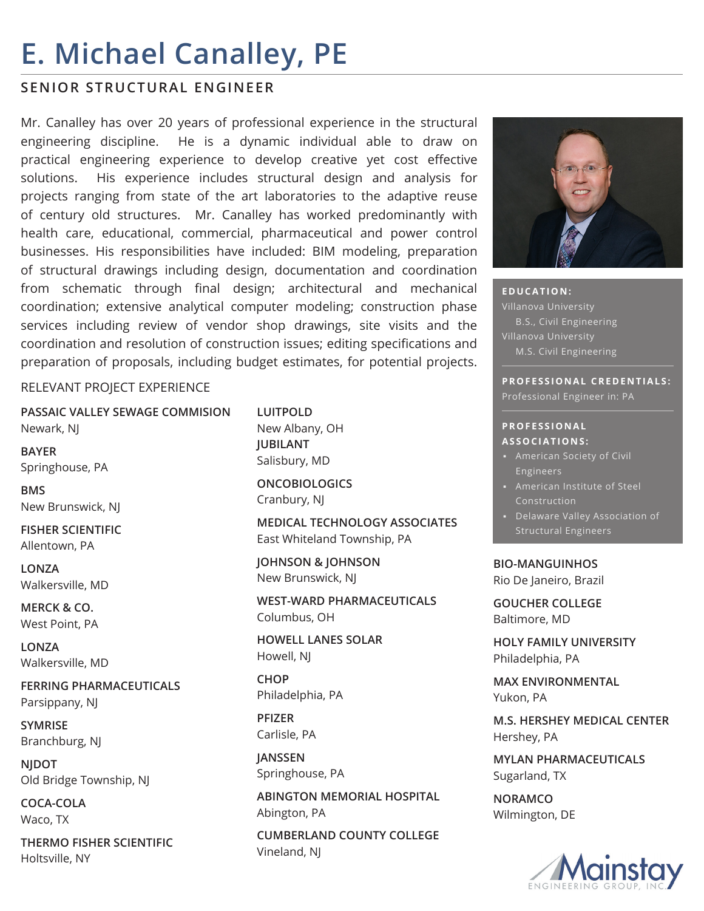# **E. Michael Canalley, PE**

### **SENIOR STRUCTURAL ENGINEER**

Mr. Canalley has over 20 years of professional experience in the structural engineering discipline. He is a dynamic individual able to draw on practical engineering experience to develop creative yet cost effective solutions. His experience includes structural design and analysis for projects ranging from state of the art laboratories to the adaptive reuse of century old structures. Mr. Canalley has worked predominantly with health care, educational, commercial, pharmaceutical and power control businesses. His responsibilities have included: BIM modeling, preparation of structural drawings including design, documentation and coordination from schematic through final design; architectural and mechanical coordination; extensive analytical computer modeling; construction phase services including review of vendor shop drawings, site visits and the coordination and resolution of construction issues; editing specifications and preparation of proposals, including budget estimates, for potential projects.

#### RELEVANT PROJECT EXPERIENCE

**PASSAIC VALLEY SEWAGE COMMISION** Newark, NJ

**BAYER** Springhouse, PA

**BMS** New Brunswick, NJ

**FISHER SCIENTIFIC** Allentown, PA

**LONZA** Walkersville, MD

**MERCK & CO.** West Point, PA

**LONZA** Walkersville, MD

**FERRING PHARMACEUTICALS** Parsippany, NJ

**SYMRISE** Branchburg, NJ

**NJDOT** Old Bridge Township, NJ

**COCA-COLA** Waco, TX

**THERMO FISHER SCIENTIFIC** Holtsville, NY

**LUITPOLD** New Albany, OH **JUBILANT** Salisbury, MD

**ONCOBIOLOGICS** Cranbury, NJ

**MEDICAL TECHNOLOGY ASSOCIATES** East Whiteland Township, PA

**JOHNSON & JOHNSON** New Brunswick, NJ

**WEST-WARD PHARMACEUTICALS** Columbus, OH

**HOWELL LANES SOLAR** Howell, NJ

**CHOP** Philadelphia, PA

**PFIZER** Carlisle, PA

**JANSSEN** Springhouse, PA

**ABINGTON MEMORIAL HOSPITAL** Abington, PA

**CUMBERLAND COUNTY COLLEGE** Vineland, NJ



**EDUCATION:** B.S., Civil Engineering M.S. Civil Engineering

**PROFESSIONAL CREDENTIALS:** Professional Engineer in: PA

## **P R O F E S S I O N A L**

- **ASSOCIATIONS:**
- Engineers
- American Institute of Steel Construction
- Structural Engineers

**BIO-MANGUINHOS** Rio De Janeiro, Brazil

**GOUCHER COLLEGE**

Baltimore, MD

**HOLY FAMILY UNIVERSITY** Philadelphia, PA

**MAX ENVIRONMENTAL** Yukon, PA

**M.S. HERSHEY MEDICAL CENTER** Hershey, PA

**MYLAN PHARMACEUTICALS** Sugarland, TX

**NORAMCO** Wilmington, DE